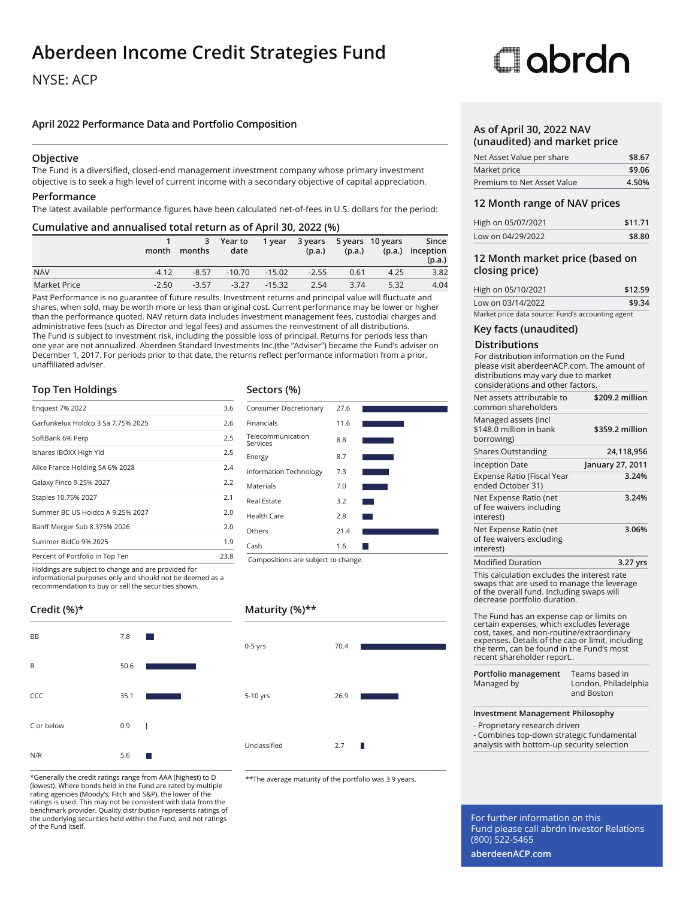### **Aberdeen Income Credit Strategies Fund**

#### NYSE: ACP

#### **April 2022 Performance Data and Portfolio Composition**

#### **Objective**

The Fund is a diversified, closed-end management investment company whose primary investment objective is to seek a high level of current income with a secondary objective of capital appreciation.

#### **Performance**

The latest available performance figures have been calculated net-of-fees in U.S. dollars for the period:

#### **Cumulative and annualised total return as of April 30, 2022 (%)**

|              | month   | months  | 3 Year to<br>date | 1 year   | (p.a.)  | (p.a.) | 3 years 5 years 10 years | Since<br>(p.a.) inception<br>(p.a.) |
|--------------|---------|---------|-------------------|----------|---------|--------|--------------------------|-------------------------------------|
| <b>NAV</b>   | $-4.12$ | $-8.57$ | $-10.70$          | $-15.02$ | $-2.55$ | 0.61   | 4.25                     | 3.82                                |
| Market Price | $-2.50$ | $-3.57$ | $-3.27$           | $-15.32$ | 2.54    | 3.74   | 5.32                     | 4.04                                |

Past Performance is no guarantee of future results. Investment returns and principal value will fluctuate and shares, when sold, may be worth more or less than original cost. Current performance may be lower or higher than the performance quoted. NAV return data includes investment management fees, custodial charges and administrative fees (such as Director and legal fees) and assumes the reinvestment of all distributions. The Fund is subject to investment risk, including the possible loss of principal. Returns for periods less than one year are not annualized. Aberdeen Standard Investments Inc.(the "Adviser") became the Fund's adviser on December 1, 2017. For periods prior to that date, the returns reflect performance information from a prior, unaffiliated adviser.

#### **Top Ten Holdings**

| <b>Enguest 7% 2022</b>             | 3.6  |
|------------------------------------|------|
| Garfunkelux Holdco 3 Sa 7.75% 2025 | 2.6  |
| SoftBank 6% Perp                   | 2.5  |
| Ishares IBOXX High Yld             | 2.5  |
| Alice France Holding SA 6% 2028    | 2.4  |
| Galaxy Finco 9.25% 2027            | 2.2  |
| Staples 10.75% 2027                | 2.1  |
| Summer BC US Holdco A 9.25% 2027   | 2.0  |
| Banff Merger Sub 8.375% 2026       | 2.0  |
| Summer BidCo 9% 2025               | 1.9  |
| Percent of Portfolio in Top Ten    | 23.8 |
|                                    |      |

Holdings are subject to change and are provided for informational purposes only and should not be deemed as a recommendation to buy or sell the securities shown.

#### **Credit (%)\***

| <b>BB</b>  | 7.8  |   |
|------------|------|---|
| B          | 50.6 |   |
| CCC        | 35.1 |   |
| C or below | 0.9  | Т |
| N/R        | 5.6  |   |

\*Generally the credit ratings range from AAA (highest) to D (lowest). Where bonds held in the Fund are rated by multiple rating agencies (Moody's, Fitch and S&P), the lower of the ratings is used. This may not be consistent with data from the benchmark provider. Quality distribution represents ratings of the underlying securities held within the Fund, and not ratings of the Fund itself.

#### **Sectors (%)**



#### **Maturity (%)\*\***



\*\*The average maturity of the portfolio was 3.9 years.

# **Clobrdo**

#### **As of April 30, 2022 NAV (unaudited) and market price**

| Net Asset Value per share  | \$8.67 |
|----------------------------|--------|
| Market price               | \$9.06 |
| Premium to Net Asset Value | 4.50%  |

#### **12 Month range of NAV prices**

| High on 05/07/2021 | \$11.71 |
|--------------------|---------|
| Low on 04/29/2022  | \$8.80  |

#### **12 Month market price (based on closing price)**

| High on 05/10/2021                                | \$12.59 |
|---------------------------------------------------|---------|
| Low on 03/14/2022                                 | \$9.34  |
| Market price data source: Fund's accounting agent |         |

#### **Key facts (unaudited)**

#### **Distributions**

For distribution information on the Fund please visit aberdeenACP.com. The amount of distributions may vary due to market considerations and other factors.

| Net assets attributable to<br>common shareholders                                                                                                                                                                                                                 | \$209.2 million                                      |
|-------------------------------------------------------------------------------------------------------------------------------------------------------------------------------------------------------------------------------------------------------------------|------------------------------------------------------|
| Managed assets (incl<br>\$148.0 million in bank<br>borrowing)                                                                                                                                                                                                     | \$359.2 million                                      |
| <b>Shares Outstanding</b>                                                                                                                                                                                                                                         | 24,118,956                                           |
| <b>Inception Date</b>                                                                                                                                                                                                                                             | January 27, 2011                                     |
| Expense Ratio (Fiscal Year<br>ended October 31)                                                                                                                                                                                                                   | 3.24%                                                |
| Net Expense Ratio (net<br>of fee waivers including<br>interest)                                                                                                                                                                                                   | 3.24%                                                |
| Net Expense Ratio (net<br>of fee waivers excluding<br>interest)                                                                                                                                                                                                   | 3.06%                                                |
| <b>Modified Duration</b>                                                                                                                                                                                                                                          | 3.27 yrs                                             |
| This calculation excludes the interest rate<br>swaps that are used to manage the leverage<br>of the overall fund. Including swaps will<br>decrease portfolio duration.                                                                                            |                                                      |
| The Fund has an expense cap or limits on<br>certain expenses, which excludes leverage<br>cost, taxes, and non-routine/extraordinary<br>expenses. Details of the cap or limit, including<br>the term, can be found in the Fund's most<br>recent shareholder report |                                                      |
| Portfolio management<br>Managed by                                                                                                                                                                                                                                | Teams based in<br>London, Philadelphia<br>and Boston |
| <b>Investment Management Philosophy</b><br>- Proprietary research driven<br>- Combines top-down strategic fundamental                                                                                                                                             |                                                      |
| analysis with bottom-up security selection                                                                                                                                                                                                                        |                                                      |

#### For further information on this Fund please call abrdn Investor Relations (800) 522-5465

**aberdeenACP.com**